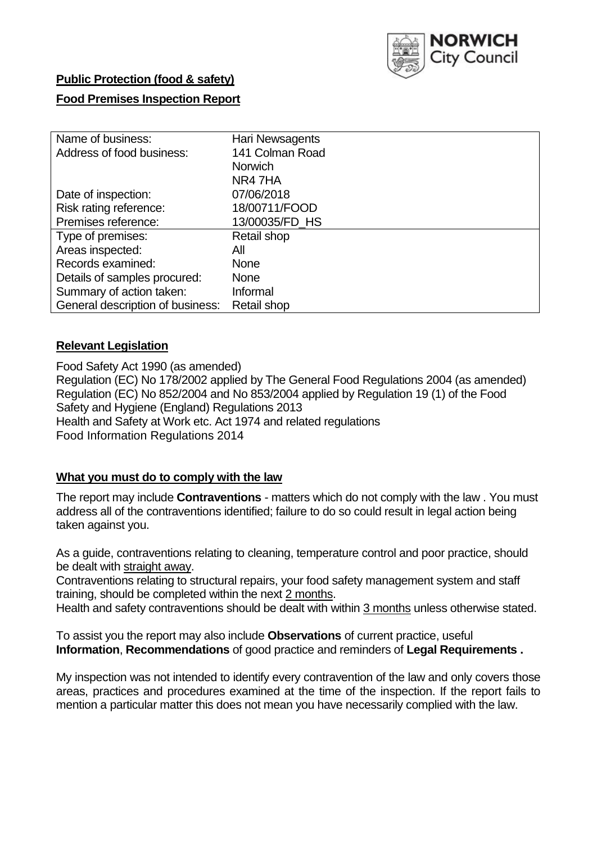

# **Public Protection (food & safety)**

# **Food Premises Inspection Report**

| Name of business:                | Hari Newsagents |
|----------------------------------|-----------------|
| Address of food business:        | 141 Colman Road |
|                                  | <b>Norwich</b>  |
|                                  | NR47HA          |
| Date of inspection:              | 07/06/2018      |
| Risk rating reference:           | 18/00711/FOOD   |
| Premises reference:              | 13/00035/FD HS  |
| Type of premises:                | Retail shop     |
| Areas inspected:                 | All             |
| Records examined:                | <b>None</b>     |
| Details of samples procured:     | <b>None</b>     |
| Summary of action taken:         | Informal        |
| General description of business: | Retail shop     |

### **Relevant Legislation**

Food Safety Act 1990 (as amended) Regulation (EC) No 178/2002 applied by The General Food Regulations 2004 (as amended) Regulation (EC) No 852/2004 and No 853/2004 applied by Regulation 19 (1) of the Food Safety and Hygiene (England) Regulations 2013 Health and Safety at Work etc. Act 1974 and related regulations Food Information Regulations 2014

# **What you must do to comply with the law**

The report may include **Contraventions** - matters which do not comply with the law . You must address all of the contraventions identified; failure to do so could result in legal action being taken against you.

As a guide, contraventions relating to cleaning, temperature control and poor practice, should be dealt with straight away.

Contraventions relating to structural repairs, your food safety management system and staff training, should be completed within the next 2 months.

Health and safety contraventions should be dealt with within 3 months unless otherwise stated.

To assist you the report may also include **Observations** of current practice, useful **Information**, **Recommendations** of good practice and reminders of **Legal Requirements .**

My inspection was not intended to identify every contravention of the law and only covers those areas, practices and procedures examined at the time of the inspection. If the report fails to mention a particular matter this does not mean you have necessarily complied with the law.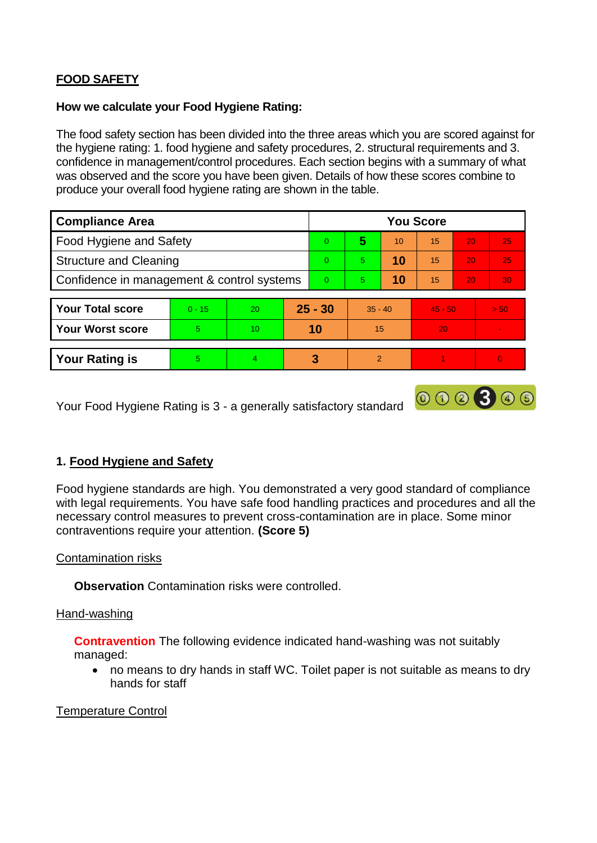# **FOOD SAFETY**

#### **How we calculate your Food Hygiene Rating:**

The food safety section has been divided into the three areas which you are scored against for the hygiene rating: 1. food hygiene and safety procedures, 2. structural requirements and 3. confidence in management/control procedures. Each section begins with a summary of what was observed and the score you have been given. Details of how these scores combine to produce your overall food hygiene rating are shown in the table.

| <b>Compliance Area</b>                     |          |    |          | <b>You Score</b> |               |    |           |                 |          |  |  |
|--------------------------------------------|----------|----|----------|------------------|---------------|----|-----------|-----------------|----------|--|--|
| Food Hygiene and Safety                    |          |    |          | $\Omega$         | 5             | 10 | 15        | 20              | 25       |  |  |
| <b>Structure and Cleaning</b>              |          |    |          | $\Omega$         | 5             | 10 | 15        | 20              | 25       |  |  |
| Confidence in management & control systems |          |    | $\Omega$ | 5                | 10            | 15 | 20        | 30 <sup>°</sup> |          |  |  |
|                                            |          |    |          |                  |               |    |           |                 |          |  |  |
| <b>Your Total score</b>                    | $0 - 15$ | 20 |          | $25 - 30$        | $35 - 40$     |    | $45 - 50$ |                 | > 50     |  |  |
| <b>Your Worst score</b>                    | 5        | 10 |          | 10               | 15            |    | 20        |                 |          |  |  |
|                                            |          |    |          |                  |               |    |           |                 |          |  |  |
| <b>Your Rating is</b>                      | 5        | 4  |          | 3                | $\mathcal{P}$ |    |           |                 | $\Omega$ |  |  |

Your Food Hygiene Rating is 3 - a generally satisfactory standard

# **1. Food Hygiene and Safety**

Food hygiene standards are high. You demonstrated a very good standard of compliance with legal requirements. You have safe food handling practices and procedures and all the necessary control measures to prevent cross-contamination are in place. Some minor contraventions require your attention. **(Score 5)**

000300

### Contamination risks

**Observation** Contamination risks were controlled.

### Hand-washing

**Contravention** The following evidence indicated hand-washing was not suitably managed:

 no means to dry hands in staff WC. Toilet paper is not suitable as means to dry hands for staff

### Temperature Control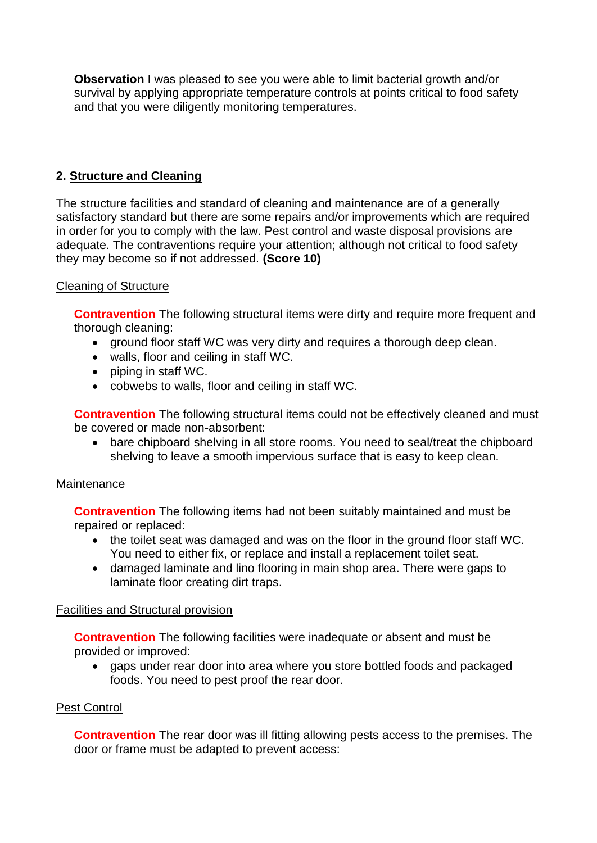**Observation** I was pleased to see you were able to limit bacterial growth and/or survival by applying appropriate temperature controls at points critical to food safety and that you were diligently monitoring temperatures.

### **2. Structure and Cleaning**

The structure facilities and standard of cleaning and maintenance are of a generally satisfactory standard but there are some repairs and/or improvements which are required in order for you to comply with the law. Pest control and waste disposal provisions are adequate. The contraventions require your attention; although not critical to food safety they may become so if not addressed. **(Score 10)**

### Cleaning of Structure

**Contravention** The following structural items were dirty and require more frequent and thorough cleaning:

- ground floor staff WC was very dirty and requires a thorough deep clean.
- walls, floor and ceiling in staff WC.
- piping in staff WC.
- cobwebs to walls, floor and ceiling in staff WC.

**Contravention** The following structural items could not be effectively cleaned and must be covered or made non-absorbent:

 bare chipboard shelving in all store rooms. You need to seal/treat the chipboard shelving to leave a smooth impervious surface that is easy to keep clean.

### **Maintenance**

**Contravention** The following items had not been suitably maintained and must be repaired or replaced:

- the toilet seat was damaged and was on the floor in the ground floor staff WC. You need to either fix, or replace and install a replacement toilet seat.
- damaged laminate and lino flooring in main shop area. There were gaps to laminate floor creating dirt traps.

### Facilities and Structural provision

**Contravention** The following facilities were inadequate or absent and must be provided or improved:

 gaps under rear door into area where you store bottled foods and packaged foods. You need to pest proof the rear door.

### Pest Control

**Contravention** The rear door was ill fitting allowing pests access to the premises. The door or frame must be adapted to prevent access: